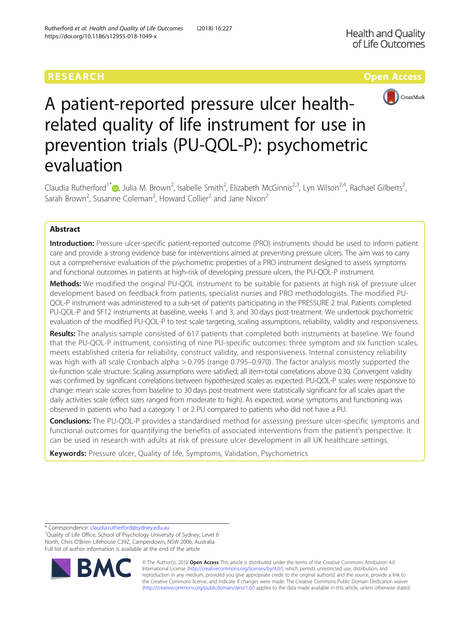## **RESEARCH CH Open Access CHOOP CONTROL**



# A patient-reported pressure ulcer healthrelated quality of life instrument for use in prevention trials (PU-QOL-P): psychometric evaluation

Claudia Rutherford<sup>1\*</sup> (**p**[,](http://orcid.org/0000-0002-4637-4572) Julia M. Brown<sup>2</sup>, Isabelle Smith<sup>2</sup>, Elizabeth McGinnis<sup>2,3</sup>, Lyn Wilson<sup>2,4</sup>, Rachael Gilberts<sup>2</sup> , Sarah Brown<sup>2</sup>, Susanne Coleman<sup>2</sup>, Howard Collier<sup>2</sup> and Jane Nixon<sup>2</sup>

## Abstract

Introduction: Pressure ulcer-specific patient-reported outcome (PRO) instruments should be used to inform patient care and provide a strong evidence base for interventions aimed at preventing pressure ulcers. The aim was to carry out a comprehensive evaluation of the psychometric properties of a PRO instrument designed to assess symptoms and functional outcomes in patients at high-risk of developing pressure ulcers, the PU-QOL-P instrument.

Methods: We modified the original PU-QOL instrument to be suitable for patients at high risk of pressure ulcer development based on feedback from patients, specialist nurses and PRO methodologists. The modified PU-QOL-P instrument was administered to a sub-set of patients participating in the PRESSURE 2 trial. Patients completed PU-QOL-P and SF12 instruments at baseline, weeks 1 and 3, and 30 days post-treatment. We undertook psychometric evaluation of the modified PU-QOL-P to test scale targeting, scaling assumptions, reliability, validity and responsiveness.

Results: The analysis sample consisted of 617 patients that completed both instruments at baseline. We found that the PU-QOL-P instrument, consisting of nine PU-specific outcomes: three symptom and six function scales, meets established criteria for reliability, construct validity, and responsiveness. Internal consistency reliability was high with all scale Cronbach alpha > 0.795 (range 0.795–0.970). The factor analysis mostly supported the six-function scale structure. Scaling assumptions were satisfied; all item-total correlations above 0.30. Convergent validity was confirmed by significant correlations between hypothesized scales as expected. PU-QOL-P scales were responsive to change: mean scale scores from baseline to 30 days post-treatment were statistically significant for all scales apart the daily activities scale (effect sizes ranged from moderate to high). As expected, worse symptoms and functioning was observed in patients who had a category 1 or 2 PU compared to patients who did not have a PU.

Conclusions: The PU-QOL-P provides a standardised method for assessing pressure ulcer-specific symptoms and functional outcomes for quantifying the benefits of associated interventions from the patient's perspective. It can be used in research with adults at risk of pressure ulcer development in all UK healthcare settings.

**Keywords:** Pressure ulcer, Quality of life, Symptoms, Validation, Psychometrics

<sup>&</sup>lt;sup>1</sup>Quality of Life Office, School of Psychology University of Sydney, Level 6 North, Chris O'Brien Lifehouse C39Z, Camperdown, NSW 2006, Australia Full list of author information is available at the end of the article



© The Author(s). 2018 Open Access This article is distributed under the terms of the Creative Commons Attribution 4.0 International License [\(http://creativecommons.org/licenses/by/4.0/](http://creativecommons.org/licenses/by/4.0/)), which permits unrestricted use, distribution, and reproduction in any medium, provided you give appropriate credit to the original author(s) and the source, provide a link to the Creative Commons license, and indicate if changes were made. The Creative Commons Public Domain Dedication waiver [\(http://creativecommons.org/publicdomain/zero/1.0/](http://creativecommons.org/publicdomain/zero/1.0/)) applies to the data made available in this article, unless otherwise stated.

<sup>\*</sup> Correspondence: [claudia.rutherford@sydney.edu.au](mailto:claudia.rutherford@sydney.edu.au) <sup>1</sup>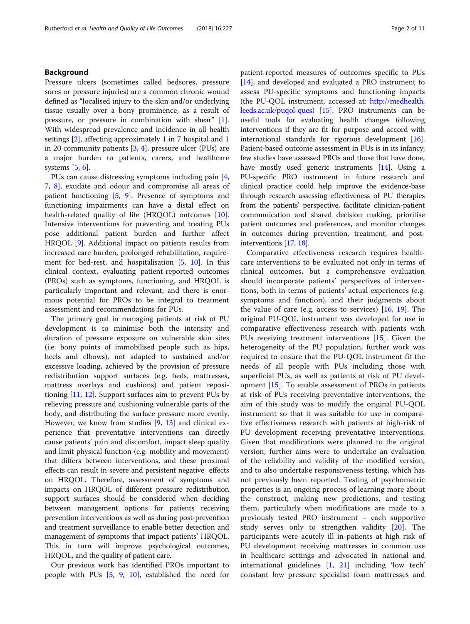## Background

Pressure ulcers (sometimes called bedsores, pressure sores or pressure injuries) are a common chronic wound defined as "localised injury to the skin and/or underlying tissue usually over a bony prominence, as a result of pressure, or pressure in combination with shear" [\[1](#page-10-0)]. With widespread prevalence and incidence in all health settings [[2\]](#page-10-0), affecting approximately 1 in 7 hospital and 1 in 20 community patients  $[3, 4]$  $[3, 4]$  $[3, 4]$  $[3, 4]$ , pressure ulcer (PUs) are a major burden to patients, carers, and healthcare systems  $[5, 6]$  $[5, 6]$  $[5, 6]$  $[5, 6]$ .

PUs can cause distressing symptoms including pain [[4](#page-10-0), [7,](#page-10-0) [8](#page-10-0)], exudate and odour and compromise all areas of patient functioning [[5,](#page-10-0) [9](#page-10-0)]. Presence of symptoms and functioning impairments can have a distal effect on health-related quality of life (HRQOL) outcomes [\[10](#page-10-0)]. Intensive interventions for preventing and treating PUs pose additional patient burden and further affect HRQOL [[9\]](#page-10-0). Additional impact on patients results from increased care burden, prolonged rehabilitation, requirement for bed-rest, and hospitalisation  $[5, 10]$  $[5, 10]$  $[5, 10]$  $[5, 10]$  $[5, 10]$ . In this clinical context, evaluating patient-reported outcomes (PROs) such as symptoms, functioning, and HRQOL is particularly important and relevant, and there is enormous potential for PROs to be integral to treatment assessment and recommendations for PUs.

The primary goal in managing patients at risk of PU development is to minimise both the intensity and duration of pressure exposure on vulnerable skin sites (i.e. bony points of immobilised people such as hips, heels and elbows), not adapted to sustained and/or excessive loading, achieved by the provision of pressure redistribution support surfaces (e.g. beds, mattresses, mattress overlays and cushions) and patient repositioning [[11,](#page-10-0) [12](#page-10-0)]. Support surfaces aim to prevent PUs by relieving pressure and cushioning vulnerable parts of the body, and distributing the surface pressure more evenly. However, we know from studies [[9](#page-10-0), [13](#page-10-0)] and clinical experience that preventative interventions can directly cause patients' pain and discomfort, impact sleep quality and limit physical function (e.g. mobility and movement) that differs between interventions, and these proximal effects can result in severe and persistent negative effects on HRQOL. Therefore, assessment of symptoms and impacts on HRQOL of different pressure redistribution support surfaces should be considered when deciding between management options for patients receiving prevention interventions as well as during post-prevention and treatment surveillance to enable better detection and management of symptoms that impact patients' HRQOL. This in turn will improve psychological outcomes, HRQOL, and the quality of patient care.

Our previous work has identified PROs important to people with PUs [\[5](#page-10-0), [9,](#page-10-0) [10\]](#page-10-0), established the need for patient-reported measures of outcomes specific to PUs [[14\]](#page-10-0), and developed and evaluated a PRO instrument to assess PU-specific symptoms and functioning impacts (the PU-QOL instrument, accessed at: [http://medhealth.](http://medhealth.leeds.ac.uk/puqol-ques) [leeds.ac.uk/puqol-ques\)](http://medhealth.leeds.ac.uk/puqol-ques) [\[15\]](#page-10-0). PRO instruments can be useful tools for evaluating health changes following interventions if they are fit for purpose and accord with international standards for rigorous development [[16](#page-10-0)]. Patient-based outcome assessment in PUs is in its infancy; few studies have assessed PROs and those that have done, have mostly used generic instruments [[14](#page-10-0)]. Using a PU-specific PRO instrument in future research and clinical practice could help improve the evidence-base through research assessing effectiveness of PU therapies from the patients' perspective, facilitate clinician-patient communication and shared decision making, prioritise patient outcomes and preferences, and monitor changes in outcomes during prevention, treatment, and postinterventions [\[17,](#page-10-0) [18](#page-10-0)].

Comparative effectiveness research requires healthcare interventions to be evaluated not only in terms of clinical outcomes, but a comprehensive evaluation should incorporate patients' perspectives of interventions, both in terms of patients' actual experiences (e.g. symptoms and function), and their judgments about the value of care (e.g. access to services) [[16,](#page-10-0) [19\]](#page-10-0). The original PU-QOL instrument was developed for use in comparative effectiveness research with patients with PUs receiving treatment interventions [\[15](#page-10-0)]. Given the heterogeneity of the PU population, further work was required to ensure that the PU-QOL instrument fit the needs of all people with PUs including those with superficial PUs, as well as patients at risk of PU development [\[15](#page-10-0)]. To enable assessment of PROs in patients at risk of PUs receiving preventative interventions, the aim of this study was to modify the original PU-QOL instrument so that it was suitable for use in comparative effectiveness research with patients at high-risk of PU development receiving preventative interventions. Given that modifications were planned to the original version, further aims were to undertake an evaluation of the reliability and validity of the modified version, and to also undertake responsiveness testing, which has not previously been reported. Testing of psychometric properties is an ongoing process of learning more about the construct, making new predictions, and testing them, particularly when modifications are made to a previously tested PRO instrument – each supportive study serves only to strengthen validity [[20\]](#page-10-0). The participants were acutely ill in-patients at high risk of PU development receiving mattresses in common use in healthcare settings and advocated in national and international guidelines [\[1](#page-10-0), [21](#page-10-0)] including 'low tech' constant low pressure specialist foam mattresses and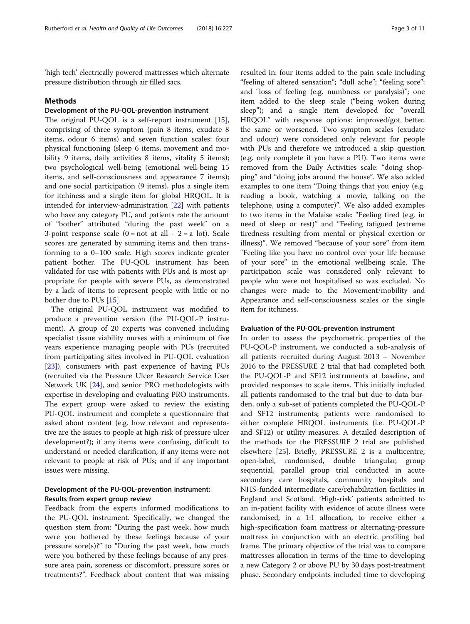'high tech' electrically powered mattresses which alternate pressure distribution through air filled sacs.

#### Methods

## Development of the PU-QOL-prevention instrument

The original PU-QOL is a self-report instrument [\[15](#page-10-0)], comprising of three symptom (pain 8 items, exudate 8 items, odour 6 items) and seven function scales: four physical functioning (sleep 6 items, movement and mobility 9 items, daily activities 8 items, vitality 5 items); two psychological well-being (emotional well-being 15 items, and self-consciousness and appearance 7 items); and one social participation (9 items), plus a single item for itchiness and a single item for global HRQOL. It is intended for interview-administration [[22\]](#page-10-0) with patients who have any category PU, and patients rate the amount of "bother" attributed "during the past week" on a 3-point response scale  $(0 = not at all - 2 = a lot)$ . Scale scores are generated by summing items and then transforming to a 0–100 scale. High scores indicate greater patient bother. The PU-QOL instrument has been validated for use with patients with PUs and is most appropriate for people with severe PUs, as demonstrated by a lack of items to represent people with little or no bother due to PUs [[15\]](#page-10-0).

The original PU-QOL instrument was modified to produce a prevention version (the PU-QOL-P instrument). A group of 20 experts was convened including specialist tissue viability nurses with a minimum of five years experience managing people with PUs (recruited from participating sites involved in PU-QOL evaluation [[23\]](#page-10-0)), consumers with past experience of having PUs (recruited via the Pressure Ulcer Research Service User Network UK [[24\]](#page-10-0), and senior PRO methodologists with expertise in developing and evaluating PRO instruments. The expert group were asked to review the existing PU-QOL instrument and complete a questionnaire that asked about content (e.g. how relevant and representative are the issues to people at high-risk of pressure ulcer development?); if any items were confusing, difficult to understand or needed clarification; if any items were not relevant to people at risk of PUs; and if any important issues were missing.

## Development of the PU-QOL-prevention instrument: Results from expert group review

Feedback from the experts informed modifications to the PU-QOL instrument. Specifically, we changed the question stem from: "During the past week, how much were you bothered by these feelings because of your pressure sore(s)?" to "During the past week, how much were you bothered by these feelings because of any pressure area pain, soreness or discomfort, pressure sores or treatments?". Feedback about content that was missing

resulted in: four items added to the pain scale including "feeling of altered sensation"; "dull ache"; "feeling sore"; and "loss of feeling (e.g. numbness or paralysis)"; one item added to the sleep scale ("being woken during sleep"); and a single item developed for "overall HRQOL" with response options: improved/got better, the same or worsened. Two symptom scales (exudate and odour) were considered only relevant for people with PUs and therefore we introduced a skip question (e.g. only complete if you have a PU). Two items were removed from the Daily Activities scale: "doing shopping" and "doing jobs around the house". We also added examples to one item "Doing things that you enjoy (e.g. reading a book, watching a movie, talking on the telephone, using a computer)". We also added examples to two items in the Malaise scale: "Feeling tired (e.g. in need of sleep or rest)" and "Feeling fatigued (extreme tiredness resulting from mental or physical exertion or illness)". We removed "because of your sore" from item "Feeling like you have no control over your life because of your sore" in the emotional wellbeing scale. The participation scale was considered only relevant to people who were not hospitalised so was excluded. No changes were made to the Movement/mobility and Appearance and self-consciousness scales or the single item for itchiness.

#### Evaluation of the PU-QOL-prevention instrument

In order to assess the psychometric properties of the PU-QOL-P instrument, we conducted a sub-analysis of all patients recruited during August 2013 – November 2016 to the PRESSURE 2 trial that had completed both the PU-QOL-P and SF12 instruments at baseline, and provided responses to scale items. This initially included all patients randomised to the trial but due to data burden, only a sub-set of patients completed the PU-QOL-P and SF12 instruments; patients were randomised to either complete HRQOL instruments (i.e. PU-QOL-P and SF12) or utility measures. A detailed description of the methods for the PRESSURE 2 trial are published elsewhere [[25\]](#page-10-0). Briefly, PRESSURE 2 is a multicentre, open-label, randomised, double triangular, group sequential, parallel group trial conducted in acute secondary care hospitals, community hospitals and NHS-funded intermediate care/rehabilitation facilities in England and Scotland. 'High-risk' patients admitted to an in-patient facility with evidence of acute illness were randomised, in a 1:1 allocation, to receive either a high-specification foam mattress or alternating-pressure mattress in conjunction with an electric profiling bed frame. The primary objective of the trial was to compare mattresses allocation in terms of the time to developing a new Category 2 or above PU by 30 days post-treatment phase. Secondary endpoints included time to developing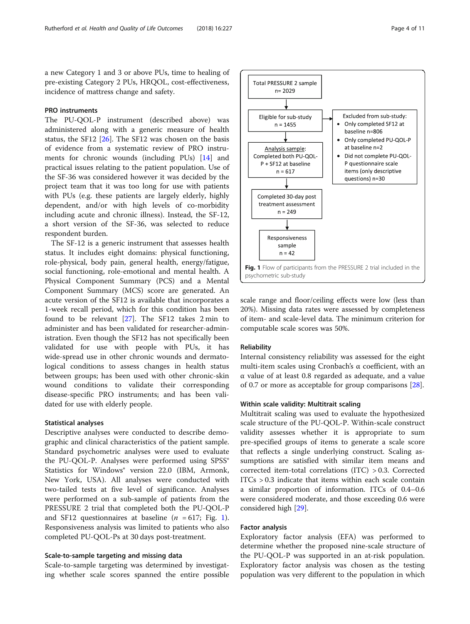a new Category 1 and 3 or above PUs, time to healing of pre-existing Category 2 PUs, HRQOL, cost-effectiveness, incidence of mattress change and safety.

## PRO instruments

The PU-QOL-P instrument (described above) was administered along with a generic measure of health status, the SF12  $[26]$  $[26]$ . The SF12 was chosen on the basis of evidence from a systematic review of PRO instruments for chronic wounds (including PUs) [\[14](#page-10-0)] and practical issues relating to the patient population. Use of the SF-36 was considered however it was decided by the project team that it was too long for use with patients with PUs (e.g. these patients are largely elderly, highly dependent, and/or with high levels of co-morbidity including acute and chronic illness). Instead, the SF-12, a short version of the SF-36, was selected to reduce respondent burden.

The SF-12 is a generic instrument that assesses health status. It includes eight domains: physical functioning, role-physical, body pain, general health, energy/fatigue, social functioning, role-emotional and mental health. A Physical Component Summary (PCS) and a Mental Component Summary (MCS) score are generated. An acute version of the SF12 is available that incorporates a 1-week recall period, which for this condition has been found to be relevant [[27\]](#page-10-0). The SF12 takes 2 min to administer and has been validated for researcher-administration. Even though the SF12 has not specifically been validated for use with people with PUs, it has wide-spread use in other chronic wounds and dermatological conditions to assess changes in health status between groups; has been used with other chronic-skin wound conditions to validate their corresponding disease-specific PRO instruments; and has been validated for use with elderly people.

#### Statistical analyses

Descriptive analyses were conducted to describe demographic and clinical characteristics of the patient sample. Standard psychometric analyses were used to evaluate the PU-QOL-P. Analyses were performed using SPSS® Statistics for Windows® version 22.0 (IBM, Armonk, New York, USA). All analyses were conducted with two-tailed tests at five level of significance. Analyses were performed on a sub-sample of patients from the PRESSURE 2 trial that completed both the PU-QOL-P and SF12 questionnaires at baseline ( $n = 617$ ; Fig. 1). Responsiveness analysis was limited to patients who also completed PU-QOL-Ps at 30 days post-treatment.

## Scale-to-sample targeting and missing data

Scale-to-sample targeting was determined by investigating whether scale scores spanned the entire possible

Responsiveness sample  $n = 42$ Fig. 1 Flow of participants from the PRESSURE 2 trial included in the psychometric sub-study scale range and floor/ceiling effects were low (less than 20%). Missing data rates were assessed by completeness of item- and scale-level data. The minimum criterion for

#### Reliability

Internal consistency reliability was assessed for the eight multi-item scales using Cronbach's α coefficient, with an α value of at least 0.8 regarded as adequate, and a value of 0.7 or more as acceptable for group comparisons [[28](#page-10-0)].

## Within scale validity: Multitrait scaling

computable scale scores was 50%.

Multitrait scaling was used to evaluate the hypothesized scale structure of the PU-QOL-P. Within-scale construct validity assesses whether it is appropriate to sum pre-specified groups of items to generate a scale score that reflects a single underlying construct. Scaling assumptions are satisfied with similar item means and corrected item-total correlations (ITC) > 0.3. Corrected ITCs > 0.3 indicate that items within each scale contain a similar proportion of information. ITCs of 0.4–0.6 were considered moderate, and those exceeding 0.6 were considered high [[29\]](#page-10-0).

## Factor analysis

Exploratory factor analysis (EFA) was performed to determine whether the proposed nine-scale structure of the PU-QOL-P was supported in an at-risk population. Exploratory factor analysis was chosen as the testing population was very different to the population in which

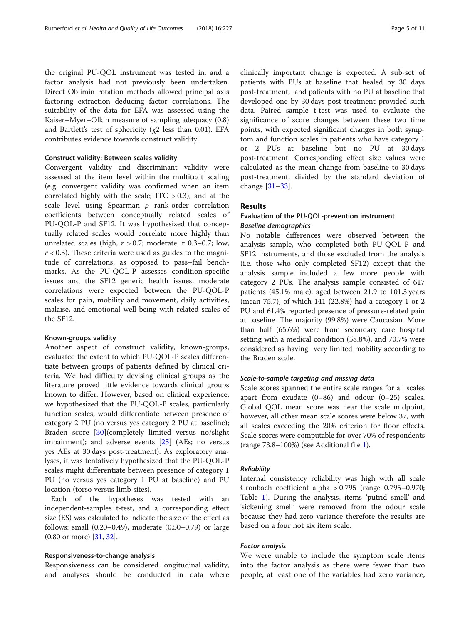the original PU-QOL instrument was tested in, and a factor analysis had not previously been undertaken. Direct Oblimin rotation methods allowed principal axis factoring extraction deducing factor correlations. The suitability of the data for EFA was assessed using the Kaiser–Myer–Olkin measure of sampling adequacy (0.8) and Bartlett's test of sphericity (χ2 less than 0.01). EFA contributes evidence towards construct validity.

## Construct validity: Between scales validity

Convergent validity and discriminant validity were assessed at the item level within the multitrait scaling (e.g. convergent validity was confirmed when an item correlated highly with the scale;  $ITC > 0.3$ ), and at the scale level using Spearman  $\rho$  rank-order correlation coefficients between conceptually related scales of PU-QOL-P and SF12. It was hypothesized that conceptually related scales would correlate more highly than unrelated scales (high,  $r > 0.7$ ; moderate, r 0.3–0.7; low,  $r$  < 0.3). These criteria were used as guides to the magnitude of correlations, as opposed to pass–fail benchmarks. As the PU-QOL-P assesses condition-specific issues and the SF12 generic health issues, moderate correlations were expected between the PU-QOL-P scales for pain, mobility and movement, daily activities, malaise, and emotional well-being with related scales of the SF12.

#### Known-groups validity

Another aspect of construct validity, known-groups, evaluated the extent to which PU-QOL-P scales differentiate between groups of patients defined by clinical criteria. We had difficulty devising clinical groups as the literature proved little evidence towards clinical groups known to differ. However, based on clinical experience, we hypothesized that the PU-QOL-P scales, particularly function scales, would differentiate between presence of category 2 PU (no versus yes category 2 PU at baseline); Braden score [\[30\]](#page-10-0)(completely limited versus no/slight impairment); and adverse events [[25](#page-10-0)] (AEs; no versus yes AEs at 30 days post-treatment). As exploratory analyses, it was tentatively hypothesized that the PU-QOL-P scales might differentiate between presence of category 1 PU (no versus yes category 1 PU at baseline) and PU location (torso versus limb sites).

Each of the hypotheses was tested with an independent-samples t-test, and a corresponding effect size (ES) was calculated to indicate the size of the effect as follows: small (0.20–0.49), moderate (0.50–0.79) or large (0.80 or more) [\[31,](#page-10-0) [32](#page-10-0)].

#### Responsiveness-to-change analysis

Responsiveness can be considered longitudinal validity, and analyses should be conducted in data where

clinically important change is expected. A sub-set of patients with PUs at baseline that healed by 30 days post-treatment, and patients with no PU at baseline that developed one by 30 days post-treatment provided such data. Paired sample t-test was used to evaluate the significance of score changes between these two time points, with expected significant changes in both symptom and function scales in patients who have category 1 or 2 PUs at baseline but no PU at 30 days post-treatment. Corresponding effect size values were calculated as the mean change from baseline to 30 days post-treatment, divided by the standard deviation of change [\[31](#page-10-0)–[33](#page-10-0)].

## Results

## Evaluation of the PU-QOL-prevention instrument Baseline demographics

No notable differences were observed between the analysis sample, who completed both PU-QOL-P and SF12 instruments, and those excluded from the analysis (i.e. those who only completed SF12) except that the analysis sample included a few more people with category 2 PUs. The analysis sample consisted of 617 patients (45.1% male), aged between 21.9 to 101.3 years (mean 75.7), of which 141 (22.8%) had a category 1 or 2 PU and 61.4% reported presence of pressure-related pain at baseline. The majority (99.8%) were Caucasian. More than half (65.6%) were from secondary care hospital setting with a medical condition (58.8%), and 70.7% were considered as having very limited mobility according to the Braden scale.

#### Scale-to-sample targeting and missing data

Scale scores spanned the entire scale ranges for all scales apart from exudate (0–86) and odour (0–25) scales. Global QOL mean score was near the scale midpoint, however, all other mean scale scores were below 37, with all scales exceeding the 20% criterion for floor effects. Scale scores were computable for over 70% of respondents (range 73.8–100%) (see Additional file [1](#page-9-0)).

#### **Reliability**

Internal consistency reliability was high with all scale Cronbach coefficient alpha > 0.795 (range 0.795–0.970; Table [1\)](#page-5-0). During the analysis, items 'putrid smell' and 'sickening smell' were removed from the odour scale because they had zero variance therefore the results are based on a four not six item scale.

## Factor analysis

We were unable to include the symptom scale items into the factor analysis as there were fewer than two people, at least one of the variables had zero variance,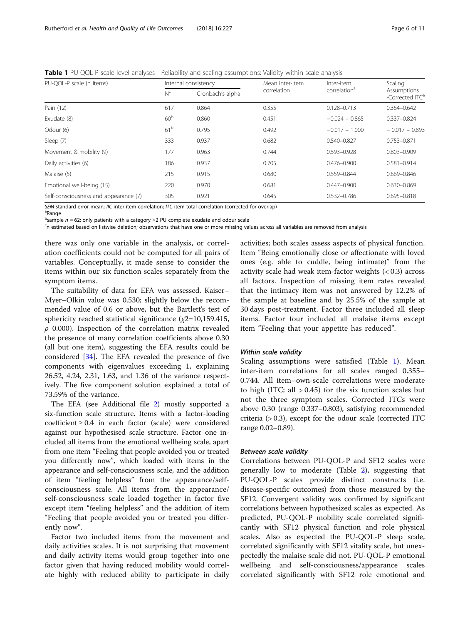<span id="page-5-0"></span>Table 1 PU-QOL-P scale level analyses - Reliability and scaling assumptions: Validity within-scale analysis

| PU-QOL-P scale (n items)              |                 | Internal consistency | Mean inter-item | Inter-item               | Scaling                                    |
|---------------------------------------|-----------------|----------------------|-----------------|--------------------------|--------------------------------------------|
|                                       | $N_c$           | Cronbach's alpha     | correlation     | correlation <sup>a</sup> | Assumptions<br>-Corrected ITC <sup>a</sup> |
| Pain (12)                             | 617             | 0.864                | 0.355           | $0.128 - 0.713$          | $0.364 - 0.642$                            |
| Exudate (8)                           | 60 <sup>b</sup> | 0.860                | 0.451           | $-0.024 - 0.865$         | 0.337-0.824                                |
| Odour (6)                             | 61 <sup>b</sup> | 0.795                | 0.492           | $-0.017 - 1.000$         | $-0.017 - 0.893$                           |
| Sleep (7)                             | 333             | 0.937                | 0.682           | $0.540 - 0.827$          | $0.753 - 0.871$                            |
| Movement & mobility (9)               | 177             | 0.963                | 0.744           | 0.593-0.928              | $0.803 - 0.909$                            |
| Daily activities (6)                  | 186             | 0.937                | 0.705           | $0.476 - 0.900$          | $0.581 - 0.914$                            |
| Malaise (5)                           | 215             | 0.915                | 0.680           | 0.559-0.844              | $0.669 - 0.846$                            |
| Emotional well-being (15)             | 220             | 0.970                | 0.681           | $0.447 - 0.900$          | $0.630 - 0.869$                            |
| Self-consciousness and appearance (7) | 305             | 0.921                | 0.645           | 0.532-0.786              | $0.695 - 0.818$                            |

SEM standard error mean; IIC inter-item correlation; ITC item-total correlation (corrected for overlap)

aRange

 $b$  sample  $n = 62$ ; only patients with a category  $\geq$  PU complete exudate and odour scale<br>Sp estimated based on listwise deletion: observations that baye one or more missing value

n estimated based on listwise deletion; observations that have one or more missing values across all variables are removed from analysis

there was only one variable in the analysis, or correlation coefficients could not be computed for all pairs of variables. Conceptually, it made sense to consider the items within our six function scales separately from the symptom items.

The suitability of data for EFA was assessed. Kaiser– Myer–Olkin value was 0.530; slightly below the recommended value of 0.6 or above, but the Bartlett's test of sphericity reached statistical significance  $(\chi^2=10,159.415,$  $\rho$  0.000). Inspection of the correlation matrix revealed the presence of many correlation coefficients above 0.30 (all but one item), suggesting the EFA results could be considered [\[34](#page-10-0)]. The EFA revealed the presence of five components with eigenvalues exceeding 1, explaining 26.52, 4.24, 2.31, 1.63, and 1.36 of the variance respectively. The five component solution explained a total of 73.59% of the variance.

The EFA (see Additional file [2\)](#page-9-0) mostly supported a six-function scale structure. Items with a factor-loading coefficient ≥ 0.4 in each factor (scale) were considered against our hypothesised scale structure. Factor one included all items from the emotional wellbeing scale, apart from one item "Feeling that people avoided you or treated you differently now", which loaded with items in the appearance and self-consciousness scale, and the addition of item "feeling helpless" from the appearance/selfconsciousness scale. All items from the appearance/ self-consciousness scale loaded together in factor five except item "feeling helpless" and the addition of item "Feeling that people avoided you or treated you differently now".

Factor two included items from the movement and daily activities scales. It is not surprising that movement and daily activity items would group together into one factor given that having reduced mobility would correlate highly with reduced ability to participate in daily

activities; both scales assess aspects of physical function. Item "Being emotionally close or affectionate with loved ones (e.g. able to cuddle, being intimate)" from the activity scale had weak item-factor weights (< 0.3) across all factors. Inspection of missing item rates revealed that the intimacy item was not answered by 12.2% of the sample at baseline and by 25.5% of the sample at 30 days post-treatment. Factor three included all sleep items. Factor four included all malaise items except item "Feeling that your appetite has reduced".

## Within scale validity

Scaling assumptions were satisfied (Table 1). Mean inter-item correlations for all scales ranged 0.355– 0.744. All item–own-scale correlations were moderate to high (ITC; all  $> 0.45$ ) for the six function scales but not the three symptom scales. Corrected ITCs were above 0.30 (range 0.337–0.803), satisfying recommended criteria  $(> 0.3)$ , except for the odour scale (corrected ITC range 0.02–0.89).

#### Between scale validity

Correlations between PU-QOL-P and SF12 scales were generally low to moderate (Table [2\)](#page-6-0), suggesting that PU-QOL-P scales provide distinct constructs (i.e. disease-specific outcomes) from those measured by the SF12. Convergent validity was confirmed by significant correlations between hypothesized scales as expected. As predicted, PU-QOL-P mobility scale correlated significantly with SF12 physical function and role physical scales. Also as expected the PU-QOL-P sleep scale, correlated significantly with SF12 vitality scale, but unexpectedly the malaise scale did not. PU-QOL-P emotional wellbeing and self-consciousness/appearance scales correlated significantly with SF12 role emotional and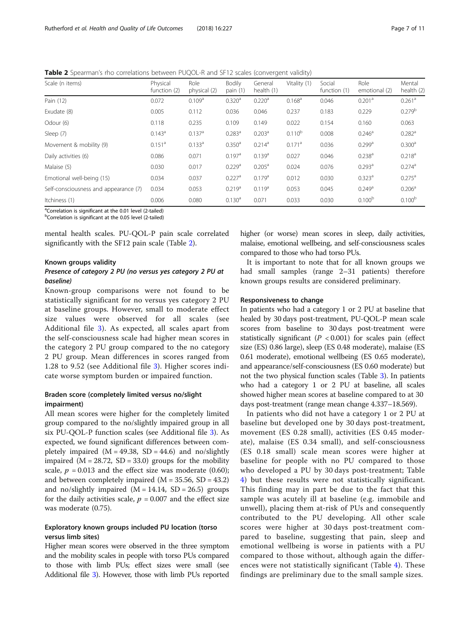<span id="page-6-0"></span>Table 2 Spearman's rho correlations between PUQOL-R and SF12 scales (convergent validity)

| Scale (n items)                       | Physical<br>function (2) | Role<br>physical (2) | <b>Bodily</b><br>pain $(1)$ | General<br>health (1) | Vitality (1)         | Social<br>function (1) | Role<br>emotional (2) | Mental<br>health (2) |
|---------------------------------------|--------------------------|----------------------|-----------------------------|-----------------------|----------------------|------------------------|-----------------------|----------------------|
| Pain (12)                             | 0.072                    | 0.109 <sup>a</sup>   | 0.320 <sup>a</sup>          | 0.220 <sup>a</sup>    | $0.168^{\text{a}}$   | 0.046                  | 0.201 <sup>a</sup>    | $0.261$ <sup>a</sup> |
| Exudate (8)                           | 0.005                    | 0.112                | 0.036                       | 0.046                 | 0.237                | 0.183                  | 0.229                 | 0.279 <sup>b</sup>   |
| Odour (6)                             | 0.118                    | 0.235                | 0.109                       | 0.149                 | 0.022                | 0.154                  | 0.160                 | 0.063                |
| Sleep (7)                             | $0.143^a$                | $0.137$ <sup>a</sup> | $0.283^{\text{a}}$          | 0.203 <sup>a</sup>    | $0.110^{b}$          | 0.008                  | $0.246^a$             | $0.282$ <sup>a</sup> |
| Movement & mobility (9)               | $0.151$ <sup>a</sup>     | $0.133^{a}$          | 0.350 <sup>a</sup>          | $0.214$ <sup>a</sup>  | $0.171$ <sup>a</sup> | 0.036                  | $0.299$ <sup>a</sup>  | 0.300 <sup>a</sup>   |
| Daily activities (6)                  | 0.086                    | 0.071                | $0.197$ <sup>a</sup>        | 0.139 <sup>a</sup>    | 0.027                | 0.046                  | 0.238 <sup>a</sup>    | 0.218 <sup>a</sup>   |
| Malaise (5)                           | 0.030                    | 0.017                | $0.229$ <sup>a</sup>        | $0.205^a$             | 0.024                | 0.076                  | $0.293$ <sup>a</sup>  | $0.274$ <sup>a</sup> |
| Emotional well-being (15)             | 0.034                    | 0.037                | $0.227$ <sup>a</sup>        | 0.179 <sup>a</sup>    | 0.012                | 0.030                  | $0.323$ <sup>a</sup>  | $0.275^{\text{a}}$   |
| Self-consciousness and appearance (7) | 0.034                    | 0.053                | 0.219 <sup>a</sup>          | 0.119 <sup>a</sup>    | 0.053                | 0.045                  | $0.249$ <sup>a</sup>  | 0.206 <sup>a</sup>   |
| Itchiness (1)                         | 0.006                    | 0.080                | 0.130 <sup>a</sup>          | 0.071                 | 0.033                | 0.030                  | 0.100 <sup>b</sup>    | $0.100^{b}$          |

<sup>a</sup>Correlation is significant at the 0.01 level (2-tailed)

b Correlation is significant at the 0.05 level (2-tailed)

mental health scales. PU-QOL-P pain scale correlated significantly with the SF12 pain scale (Table 2).

## Known groups validity

## Presence of category 2 PU (no versus yes category 2 PU at baseline)

Known-group comparisons were not found to be statistically significant for no versus yes category 2 PU at baseline groups. However, small to moderate effect size values were observed for all scales (see Additional file [3](#page-9-0)). As expected, all scales apart from the self-consciousness scale had higher mean scores in the category 2 PU group compared to the no category 2 PU group. Mean differences in scores ranged from 1.28 to 9.52 (see Additional file [3\)](#page-9-0). Higher scores indicate worse symptom burden or impaired function.

## Braden score (completely limited versus no/slight impairment)

All mean scores were higher for the completely limited group compared to the no/slightly impaired group in all six PU-QOL-P function scales (see Additional file [3](#page-9-0)). As expected, we found significant differences between completely impaired  $(M = 49.38, SD = 44.6)$  and no/slightly impaired  $(M = 28.72, SD = 33.0)$  groups for the mobility scale,  $p = 0.013$  and the effect size was moderate (0.60); and between completely impaired  $(M = 35.56, SD = 43.2)$ and no/slightly impaired  $(M = 14.14, SD = 26.5)$  groups for the daily activities scale,  $p = 0.007$  and the effect size was moderate (0.75).

## Exploratory known groups included PU location (torso versus limb sites)

Higher mean scores were observed in the three symptom and the mobility scales in people with torso PUs compared to those with limb PUs; effect sizes were small (see Additional file [3\)](#page-9-0). However, those with limb PUs reported higher (or worse) mean scores in sleep, daily activities, malaise, emotional wellbeing, and self-consciousness scales compared to those who had torso PUs.

It is important to note that for all known groups we had small samples (range 2–31 patients) therefore known groups results are considered preliminary.

## Responsiveness to change

In patients who had a category 1 or 2 PU at baseline that healed by 30 days post-treatment, PU-QOL-P mean scale scores from baseline to 30 days post-treatment were statistically significant ( $P < 0.001$ ) for scales pain (effect size (ES) 0.86 large), sleep (ES 0.48 moderate), malaise (ES 0.61 moderate), emotional wellbeing (ES 0.65 moderate), and appearance/self-consciousness (ES 0.60 moderate) but not the two physical function scales (Table [3\)](#page-7-0). In patients who had a category 1 or 2 PU at baseline, all scales showed higher mean scores at baseline compared to at 30 days post-treatment (range mean change 4.337–18.569).

In patients who did not have a category 1 or 2 PU at baseline but developed one by 30 days post-treatment, movement (ES 0.28 small), activities (ES 0.45 moderate), malaise (ES 0.34 small), and self-consciousness (ES 0.18 small) scale mean scores were higher at baseline for people with no PU compared to those who developed a PU by 30 days post-treatment; Table [4\)](#page-7-0) but these results were not statistically significant. This finding may in part be due to the fact that this sample was acutely ill at baseline (e.g. immobile and unwell), placing them at-risk of PUs and consequently contributed to the PU developing. All other scale scores were higher at 30 days post-treatment compared to baseline, suggesting that pain, sleep and emotional wellbeing is worse in patients with a PU compared to those without, although again the differences were not statistically significant (Table [4\)](#page-7-0). These findings are preliminary due to the small sample sizes.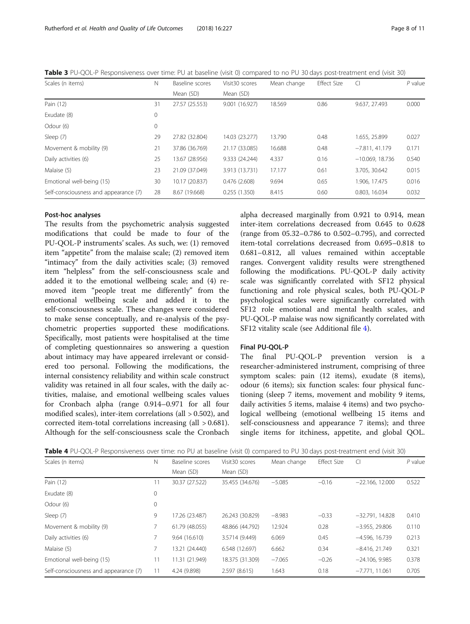<span id="page-7-0"></span>

| Table 3 PU-QOL-P Responsiveness over time: PU at baseline (visit 0) compared to no PU 30 days post-treatment end (visit 30) |  |
|-----------------------------------------------------------------------------------------------------------------------------|--|
|-----------------------------------------------------------------------------------------------------------------------------|--|

| Scales (n items)                      | N  | Baseline scores | Visit30 scores | Mean change | <b>Effect Size</b> | C                 | $P$ value |
|---------------------------------------|----|-----------------|----------------|-------------|--------------------|-------------------|-----------|
|                                       |    | Mean (SD)       | Mean (SD)      |             |                    |                   |           |
| Pain (12)                             | 31 | 27.57 (25.553)  | 9.001 (16.927) | 18.569      | 0.86               | 9.637, 27.493     | 0.000     |
| Exudate (8)                           | 0  |                 |                |             |                    |                   |           |
| Odour (6)                             | 0  |                 |                |             |                    |                   |           |
| Sleep (7)                             | 29 | 27.82 (32.804)  | 14.03 (23.277) | 13.790      | 0.48               | 1.655, 25.899     | 0.027     |
| Movement & mobility (9)               | 21 | 37.86 (36.769)  | 21.17 (33.085) | 16.688      | 0.48               | $-7.811, 41.179$  | 0.171     |
| Daily activities (6)                  | 25 | 13.67 (28.956)  | 9.333 (24.244) | 4.337       | 0.16               | $-10.069, 18.736$ | 0.540     |
| Malaise (5)                           | 23 | 21.09 (37.049)  | 3.913 (13.731) | 17.177      | 0.61               | 3.705, 30.642     | 0.015     |
| Emotional well-being (15)             | 30 | 10.17 (20.837)  | 0.476(2.608)   | 9.694       | 0.65               | 1.906, 17.475     | 0.016     |
| Self-consciousness and appearance (7) | 28 | 8.67 (19.668)   | 0.255(1.350)   | 8.415       | 0.60               | 0.803, 16.034     | 0.032     |

## Post-hoc analyses

The results from the psychometric analysis suggested modifications that could be made to four of the PU-QOL-P instruments' scales. As such, we: (1) removed item "appetite" from the malaise scale; (2) removed item "intimacy" from the daily activities scale; (3) removed item "helpless" from the self-consciousness scale and added it to the emotional wellbeing scale; and (4) removed item "people treat me differently" from the emotional wellbeing scale and added it to the self-consciousness scale. These changes were considered to make sense conceptually, and re-analysis of the psychometric properties supported these modifications. Specifically, most patients were hospitalised at the time of completing questionnaires so answering a question about intimacy may have appeared irrelevant or considered too personal. Following the modifications, the internal consistency reliability and within scale construct validity was retained in all four scales, with the daily activities, malaise, and emotional wellbeing scales values for Cronbach alpha (range 0.914–0.971 for all four modified scales), inter-item correlations (all > 0.502), and corrected item-total correlations increasing (all > 0.681). Although for the self-consciousness scale the Cronbach alpha decreased marginally from 0.921 to 0.914, mean inter-item correlations decreased from 0.645 to 0.628 (range from 05.32–0.786 to 0.502–0.795), and corrected item-total correlations decreased from 0.695–0.818 to 0.681–0.812, all values remained within acceptable ranges. Convergent validity results were strengthened following the modifications. PU-QOL-P daily activity scale was significantly correlated with SF12 physical functioning and role physical scales, both PU-QOL-P psychological scales were significantly correlated with SF12 role emotional and mental health scales, and PU-QOL-P malaise was now significantly correlated with SF12 vitality scale (see Additional file [4](#page-9-0)).

#### Final PU-QOL-P

The final PU-QOL-P prevention version is a researcher-administered instrument, comprising of three symptom scales: pain (12 items), exudate (8 items), odour (6 items); six function scales: four physical functioning (sleep 7 items, movement and mobility 9 items, daily activities 5 items, malaise 4 items) and two psychological wellbeing (emotional wellbeing 15 items and self-consciousness and appearance 7 items); and three single items for itchiness, appetite, and global QOL.

| Table 4 PU-QOL-P Responsiveness over time: no PU at baseline (visit 0) compared to PU 30 days post-treatment end (visit 30) |  |  |  |
|-----------------------------------------------------------------------------------------------------------------------------|--|--|--|
|-----------------------------------------------------------------------------------------------------------------------------|--|--|--|

| Scales (n items)                      | N            | Baseline scores | Visit30 scores  | Mean change | <b>Effect Size</b> | C                  | $P$ value |
|---------------------------------------|--------------|-----------------|-----------------|-------------|--------------------|--------------------|-----------|
|                                       |              | Mean (SD)       | Mean (SD)       |             |                    |                    |           |
| Pain (12)                             | 11           | 30.37 (27.522)  | 35.455 (34.676) | $-5.085$    | $-0.16$            | $-22.166$ , 12.000 | 0.522     |
| Exudate (8)                           | $\mathbf{0}$ |                 |                 |             |                    |                    |           |
| Odour (6)                             | $\circ$      |                 |                 |             |                    |                    |           |
| Sleep (7)                             | 9            | 17.26 (23.487)  | 26.243 (30.829) | $-8.983$    | $-0.33$            | $-32.791.14.828$   | 0.410     |
| Movement & mobility (9)               |              | 61.79 (48.055)  | 48.866 (44.792) | 12.924      | 0.28               | $-3.955, 29.806$   | 0.110     |
| Daily activities (6)                  |              | 9.64(16.610)    | 3.5714 (9.449)  | 6.069       | 0.45               | $-4.596.16.739$    | 0.213     |
| Malaise (5)                           |              | 13.21 (24.440)  | 6.548 (12.697)  | 6.662       | 0.34               | $-8.416, 21.749$   | 0.321     |
| Emotional well-being (15)             | 11           | 11.31 (21.949)  | 18.375 (31.309) | $-7.065$    | $-0.26$            | $-24.106.9.985$    | 0.378     |
| Self-consciousness and appearance (7) | 11           | 4.24 (9.898)    | 2.597 (8.615)   | 1.643       | 0.18               | $-7.771.11.061$    | 0.705     |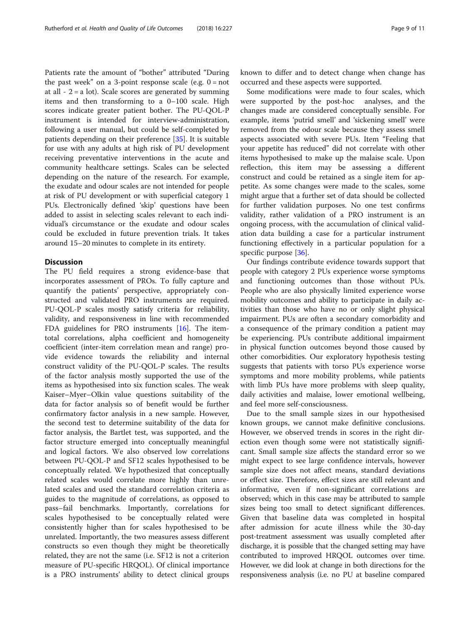Patients rate the amount of "bother" attributed "During the past week" on a 3-point response scale (e.g.  $0 = not$ at all  $-2 = a$  lot). Scale scores are generated by summing items and then transforming to a 0–100 scale. High scores indicate greater patient bother. The PU-QOL-P instrument is intended for interview-administration, following a user manual, but could be self-completed by patients depending on their preference [\[35](#page-10-0)]. It is suitable for use with any adults at high risk of PU development receiving preventative interventions in the acute and community healthcare settings. Scales can be selected depending on the nature of the research. For example, the exudate and odour scales are not intended for people at risk of PU development or with superficial category 1 PUs. Electronically defined 'skip' questions have been added to assist in selecting scales relevant to each individual's circumstance or the exudate and odour scales could be excluded in future prevention trials. It takes around 15–20 minutes to complete in its entirety.

## **Discussion**

The PU field requires a strong evidence-base that incorporates assessment of PROs. To fully capture and quantify the patients' perspective, appropriately constructed and validated PRO instruments are required. PU-QOL-P scales mostly satisfy criteria for reliability, validity, and responsiveness in line with recommended FDA guidelines for PRO instruments [[16](#page-10-0)]. The itemtotal correlations, alpha coefficient and homogeneity coefficient (inter-item correlation mean and range) provide evidence towards the reliability and internal construct validity of the PU-QOL-P scales. The results of the factor analysis mostly supported the use of the items as hypothesised into six function scales. The weak Kaiser–Myer–Olkin value questions suitability of the data for factor analysis so of benefit would be further confirmatory factor analysis in a new sample. However, the second test to determine suitability of the data for factor analysis, the Bartlet test, was supported, and the factor structure emerged into conceptually meaningful and logical factors. We also observed low correlations between PU-QOL-P and SF12 scales hypothesised to be conceptually related. We hypothesized that conceptually related scales would correlate more highly than unrelated scales and used the standard correlation criteria as guides to the magnitude of correlations, as opposed to pass–fail benchmarks. Importantly, correlations for scales hypothesised to be conceptually related were consistently higher than for scales hypothesised to be unrelated. Importantly, the two measures assess different constructs so even though they might be theoretically related, they are not the same (i.e. SF12 is not a criterion measure of PU-specific HRQOL). Of clinical importance is a PRO instruments' ability to detect clinical groups known to differ and to detect change when change has occurred and these aspects were supported.

Some modifications were made to four scales, which were supported by the post-hoc analyses, and the changes made are considered conceptually sensible. For example, items 'putrid smell' and 'sickening smell' were removed from the odour scale because they assess smell aspects associated with severe PUs. Item "Feeling that your appetite has reduced" did not correlate with other items hypothesised to make up the malaise scale. Upon reflection, this item may be assessing a different construct and could be retained as a single item for appetite. As some changes were made to the scales, some might argue that a further set of data should be collected for further validation purposes. No one test confirms validity, rather validation of a PRO instrument is an ongoing process, with the accumulation of clinical validation data building a case for a particular instrument functioning effectively in a particular population for a specific purpose [[36\]](#page-10-0).

Our findings contribute evidence towards support that people with category 2 PUs experience worse symptoms and functioning outcomes than those without PUs. People who are also physically limited experience worse mobility outcomes and ability to participate in daily activities than those who have no or only slight physical impairment. PUs are often a secondary comorbidity and a consequence of the primary condition a patient may be experiencing. PUs contribute additional impairment in physical function outcomes beyond those caused by other comorbidities. Our exploratory hypothesis testing suggests that patients with torso PUs experience worse symptoms and more mobility problems, while patients with limb PUs have more problems with sleep quality, daily activities and malaise, lower emotional wellbeing, and feel more self-consciousness.

Due to the small sample sizes in our hypothesised known groups, we cannot make definitive conclusions. However, we observed trends in scores in the right direction even though some were not statistically significant. Small sample size affects the standard error so we might expect to see large confidence intervals, however sample size does not affect means, standard deviations or effect size. Therefore, effect sizes are still relevant and informative, even if non-significant correlations are observed; which in this case may be attributed to sample sizes being too small to detect significant differences. Given that baseline data was completed in hospital after admission for acute illness while the 30-day post-treatment assessment was usually completed after discharge, it is possible that the changed setting may have contributed to improved HRQOL outcomes over time. However, we did look at change in both directions for the responsiveness analysis (i.e. no PU at baseline compared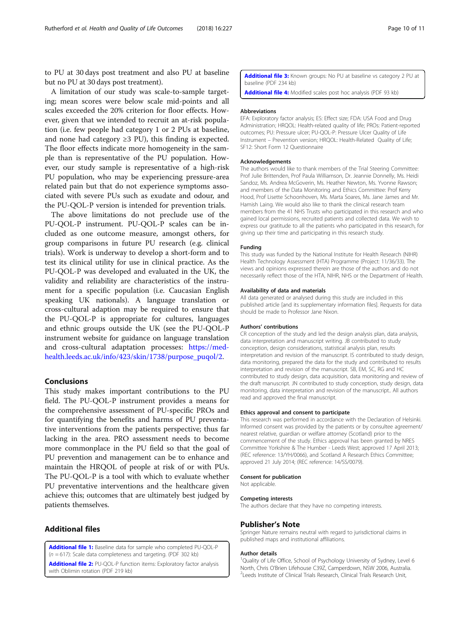<span id="page-9-0"></span>to PU at 30 days post treatment and also PU at baseline but no PU at 30 days post treatment).

A limitation of our study was scale-to-sample targeting; mean scores were below scale mid-points and all scales exceeded the 20% criterion for floor effects. However, given that we intended to recruit an at-risk population (i.e. few people had category 1 or 2 PUs at baseline, and none had category  $\geq$ 3 PU), this finding is expected. The floor effects indicate more homogeneity in the sample than is representative of the PU population. However, our study sample is representative of a high-risk PU population, who may be experiencing pressure-area related pain but that do not experience symptoms associated with severe PUs such as exudate and odour, and the PU-QOL-P version is intended for prevention trials.

The above limitations do not preclude use of the PU-QOL-P instrument. PU-QOL-P scales can be included as one outcome measure, amongst others, for group comparisons in future PU research (e.g. clinical trials). Work is underway to develop a short-form and to test its clinical utility for use in clinical practice. As the PU-QOL-P was developed and evaluated in the UK, the validity and reliability are characteristics of the instrument for a specific population (i.e. Caucasian English speaking UK nationals). A language translation or cross-cultural adaption may be required to ensure that the PU-QOL-P is appropriate for cultures, languages and ethnic groups outside the UK (see the PU-QOL-P instrument website for guidance on language translation and cross-cultural adaptation processes: [https://med](https://medhealth.leeds.ac.uk/info/423/skin/1738/purpose_puqol/2)[health.leeds.ac.uk/info/423/skin/1738/purpose\\_puqol/2.](https://medhealth.leeds.ac.uk/info/423/skin/1738/purpose_puqol/2)

## Conclusions

This study makes important contributions to the PU field. The PU-QOL-P instrument provides a means for the comprehensive assessment of PU-specific PROs and for quantifying the benefits and harms of PU preventative interventions from the patients perspective; thus far lacking in the area. PRO assessment needs to become more commonplace in the PU field so that the goal of PU prevention and management can be to enhance and maintain the HRQOL of people at risk of or with PUs. The PU-QOL-P is a tool with which to evaluate whether PU preventative interventions and the healthcare given achieve this; outcomes that are ultimately best judged by patients themselves.

## Additional files

[Additional file 1:](https://doi.org/10.1186/s12955-018-1049-x) Baseline data for sample who completed PU-QOL-P  $(n = 617)$ : Scale data completeness and targeting. (PDF 302 kb)

[Additional file 2:](https://doi.org/10.1186/s12955-018-1049-x) PU-QOL-P function items: Exploratory factor analysis with Oblimin rotation (PDF 219 kb)

[Additional file 3:](https://doi.org/10.1186/s12955-018-1049-x) Known groups: No PU at baseline vs category 2 PU at baseline (PDF 234 kb)

[Additional file 4:](https://doi.org/10.1186/s12955-018-1049-x) Modified scales post hoc analysis (PDF 93 kb)

#### Abbreviations

EFA: Exploratory factor analysis; ES: Effect size; FDA: USA Food and Drug Administration; HRQOL: Health-related quality of life; PROs: Patient-reported outcomes; PU: Pressure ulcer; PU-QOL-P: Pressure Ulcer Quality of Life Instrument – Prevention version; HRQOL: Health-Related Quality of Life; SF12: Short Form 12 Questionnaire

#### Acknowledgements

The authors would like to thank members of the Trial Steering Committee: Prof Julie Brittenden, Prof Paula Williamson, Dr. Jeannie Donnelly, Ms. Heidi Sandoz, Ms. Andrea McGoverin, Ms. Heather Newton, Ms. Yvonne Rawson; and members of the Data Monitoring and Ethics Committee: Prof Kerry Hood, Prof Lisette Schoonhoven, Ms. Marta Soares, Ms. Jane James and Mr. Hamish Laing. We would also like to thank the clinical research team members from the 41 NHS Trusts who participated in this research and who gained local permissions, recruited patients and collected data. We wish to express our gratitude to all the patients who participated in this research, for giving up their time and participating in this research study.

#### Funding

This study was funded by the National Institute for Health Research (NIHR) Health Technology Assessment (HTA) Programme (Project: 11/36/33). The views and opinions expressed therein are those of the authors and do not necessarily reflect those of the HTA, NIHR, NHS or the Department of Health.

## Availability of data and materials

All data generated or analysed during this study are included in this published article [and its supplementary information files]. Requests for data should be made to Professor Jane Nixon.

#### Authors' contributions

CR conception of the study and led the design analysis plan, data analysis, data interpretation and manuscript writing. JB contributed to study conception, design considerations, statistical analysis plan, results interpretation and revision of the manuscript. IS contributed to study design, data monitoring, prepared the data for the study and contributed to results interpretation and revision of the manuscript. SB, EM, SC, RG and HC contributed to study design, data acquisition, data monitoring and review of the draft manuscript. JN contributed to study conception, study design, data monitoring, data interpretation and revision of the manuscript.. All authors read and approved the final manuscript.

#### Ethics approval and consent to participate

This research was performed in accordance with the Declaration of Helsinki. Informed consent was provided by the patients or by consultee agreement/ nearest relative, guardian or welfare attorney (Scotland) prior to the commencement of the study. Ethics approval has been granted by NRES Committee Yorkshire & The Humber - Leeds West; approved 17 April 2013; (REC reference: 13/YH/0066), and Scotland A Research Ethics Committee; approved 21 July 2014; (REC reference: 14/SS/0079).

#### Consent for publication

Not applicable.

#### Competing interests

The authors declare that they have no competing interests.

#### Publisher's Note

Springer Nature remains neutral with regard to jurisdictional claims in published maps and institutional affiliations.

#### Author details

<sup>1</sup>Quality of Life Office, School of Psychology University of Sydney, Level 6 North, Chris O'Brien Lifehouse C39Z, Camperdown, NSW 2006, Australia. <sup>2</sup> <sup>2</sup> Leeds Institute of Clinical Trials Research, Clinical Trials Research Unit,